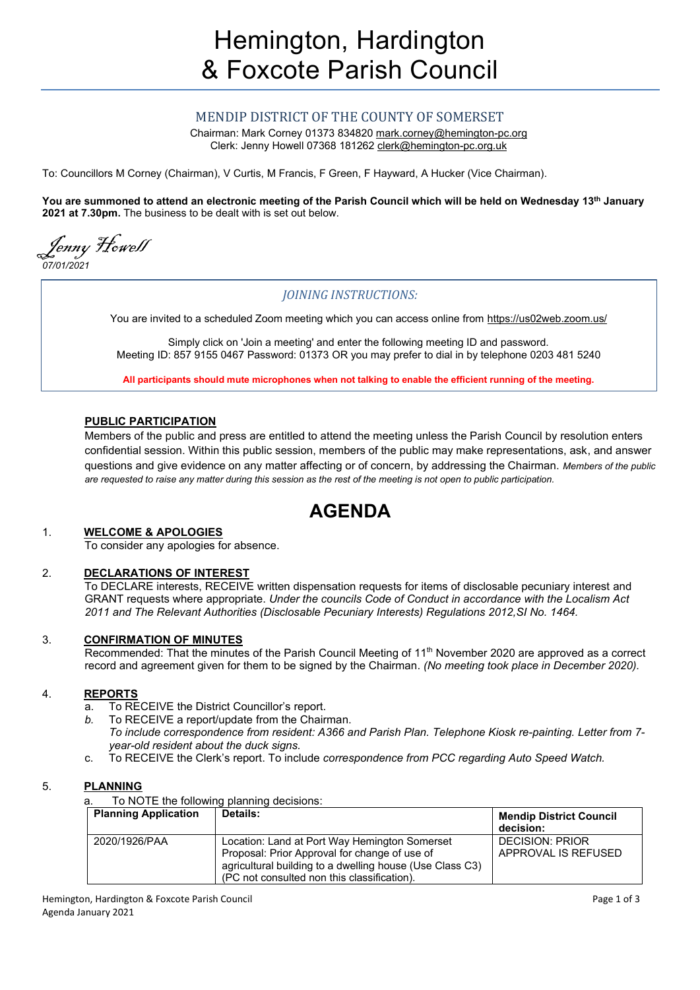# MENDIP DISTRICT OF THE COUNTY OF SOMERSET

Chairman: Mark Corney 01373 834820 [mark.corney@hemington-pc.org](mailto:mark.corney@hemington-pc.org) Clerk: Jenny Howell 07368 181262 [clerk@hemington-pc.org.uk](mailto:clerk@hemington-pc.org.uk)

To: Councillors M Corney (Chairman), V Curtis, M Francis, F Green, F Hayward, A Hucker (Vice Chairman).

**You are summoned to attend an electronic meeting of the Parish Council which will be held on Wednesday 13th January 2021 at 7.30pm.** The business to be dealt with is set out below.

Jenny Howell

*07/01/2021*

# *JOINING INSTRUCTIONS:*

You are invited to a scheduled Zoom meeting which you can access online from https://us02web.zoom.us/

Simply click on 'Join a meeting' and enter the following meeting ID and password. Meeting ID: 857 9155 0467 Password: 01373 OR you may prefer to dial in by telephone 0203 481 5240

**All participants should mute microphones when not talking to enable the efficient running of the meeting.**

#### **PUBLIC PARTICIPATION**

Members of the public and press are entitled to attend the meeting unless the Parish Council by resolution enters confidential session. Within this public session, members of the public may make representations, ask, and answer questions and give evidence on any matter affecting or of concern, by addressing the Chairman. *Members of the public are requested to raise any matter during this session as the rest of the meeting is not open to public participation.*

# **AGENDA**

#### 1. **WELCOME & APOLOGIES**

To consider any apologies for absence.

### 2. **DECLARATIONS OF INTEREST**

To DECLARE interests, RECEIVE written dispensation requests for items of disclosable pecuniary interest and GRANT requests where appropriate. *Under the councils Code of Conduct in accordance with the Localism Act 2011 and The Relevant Authorities (Disclosable Pecuniary Interests) Regulations 2012,SI No. 1464.*

### 3. **CONFIRMATION OF MINUTES**

Recommended: That the minutes of the Parish Council Meeting of 11th November 2020 are approved as a correct record and agreement given for them to be signed by the Chairman. *(No meeting took place in December 2020).*

## 4. **REPORTS**

- a. To RECEIVE the District Councillor's report.
- *b.* To RECEIVE a report/update from the Chairman.
	- *To include correspondence from resident: A366 and Parish Plan. Telephone Kiosk re-painting. Letter from 7 year-old resident about the duck signs.*
- c. To RECEIVE the Clerk's report. To include *correspondence from PCC regarding Auto Speed Watch.*

#### 5. **PLANNING**

a. To NOTE the following planning decisions:

| <b>Planning Application</b> | Details:                                                                                                                                                                                                  | <b>Mendip District Council</b><br>decision: |
|-----------------------------|-----------------------------------------------------------------------------------------------------------------------------------------------------------------------------------------------------------|---------------------------------------------|
| 2020/1926/PAA               | Location: Land at Port Way Hemington Somerset<br>Proposal: Prior Approval for change of use of<br>agricultural building to a dwelling house (Use Class C3)<br>(PC not consulted non this classification). | DECISION: PRIOR<br>APPROVAL IS REFUSED      |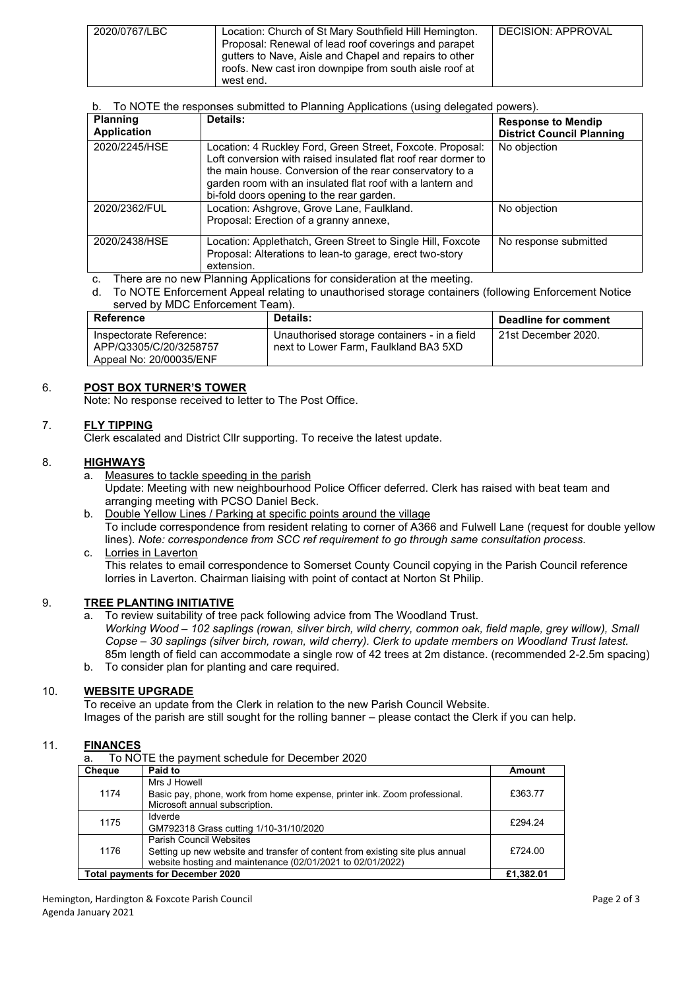| 2020/0767/LBC | Location: Church of St Mary Southfield Hill Hemington.<br>Proposal: Renewal of lead roof coverings and parapet<br>qutters to Nave, Aisle and Chapel and repairs to other<br>roofs. New cast iron downpipe from south aisle roof at<br>west end. | DECISION: APPROVAL |
|---------------|-------------------------------------------------------------------------------------------------------------------------------------------------------------------------------------------------------------------------------------------------|--------------------|

# b. To NOTE the responses submitted to Planning Applications (using delegated powers).

| <b>Planning</b><br><b>Application</b> | Details:                                                                                                                                                                                                                                                                                            | <b>Response to Mendip</b><br><b>District Council Planning</b> |
|---------------------------------------|-----------------------------------------------------------------------------------------------------------------------------------------------------------------------------------------------------------------------------------------------------------------------------------------------------|---------------------------------------------------------------|
| 2020/2245/HSE                         | Location: 4 Ruckley Ford, Green Street, Foxcote. Proposal:<br>Loft conversion with raised insulated flat roof rear dormer to<br>the main house. Conversion of the rear conservatory to a<br>garden room with an insulated flat roof with a lantern and<br>bi-fold doors opening to the rear garden. | No objection                                                  |
| 2020/2362/FUL                         | Location: Ashgrove, Grove Lane, Faulkland.<br>Proposal: Erection of a granny annexe,                                                                                                                                                                                                                | No objection                                                  |
| 2020/2438/HSE                         | Location: Applethatch, Green Street to Single Hill, Foxcote<br>Proposal: Alterations to lean-to garage, erect two-story<br>extension.                                                                                                                                                               | No response submitted                                         |

c. There are no new Planning Applications for consideration at the meeting.

d. To NOTE Enforcement Appeal relating to unauthorised storage containers (following Enforcement Notice served by MDC Enforcement Team).

| <b>Reference</b>                                                             | Details:                                                                              | Deadline for comment |
|------------------------------------------------------------------------------|---------------------------------------------------------------------------------------|----------------------|
| Inspectorate Reference:<br>APP/Q3305/C/20/3258757<br>Appeal No: 20/00035/ENF | Unauthorised storage containers - in a field<br>next to Lower Farm. Faulkland BA3 5XD | 21st December 2020.  |

# 6. **POST BOX TURNER'S TOWER**

Note: No response received to letter to The Post Office.

# 7. **FLY TIPPING**

Clerk escalated and District Cllr supporting. To receive the latest update.

### 8. **HIGHWAYS**

- a. Measures to tackle speeding in the parish Update: Meeting with new neighbourhood Police Officer deferred. Clerk has raised with beat team and arranging meeting with PCSO Daniel Beck.
- b. Double Yellow Lines / Parking at specific points around the village To include correspondence from resident relating to corner of A366 and Fulwell Lane (request for double yellow lines). *Note: correspondence from SCC ref requirement to go through same consultation process.* c. Lorries in Laverton

This relates to email correspondence to Somerset County Council copying in the Parish Council reference lorries in Laverton. Chairman liaising with point of contact at Norton St Philip.

### 9. **TREE PLANTING INITIATIVE**

- a. To review suitability of tree pack following advice from The Woodland Trust. *Working Wood – 102 saplings (rowan, silver birch, wild cherry, common oak, field maple, grey willow), Small Copse – 30 saplings (silver birch, rowan, wild cherry). Clerk to update members on Woodland Trust latest.* 85m length of field can accommodate a single row of 42 trees at 2m distance. (recommended 2-2.5m spacing)
- b. To consider plan for planting and care required.

### 10. **WEBSITE UPGRADE**

To receive an update from the Clerk in relation to the new Parish Council Website. Images of the parish are still sought for the rolling banner – please contact the Clerk if you can help.

### 11. **FINANCES**

|  |  |  |  |  | To NOTE the payment schedule for December 2020 |  |  |  |
|--|--|--|--|--|------------------------------------------------|--|--|--|
|--|--|--|--|--|------------------------------------------------|--|--|--|

| <b>Cheaue</b>                           | Paid to                                                                                                                                                                       | Amount    |
|-----------------------------------------|-------------------------------------------------------------------------------------------------------------------------------------------------------------------------------|-----------|
| 1174                                    | Mrs J Howell<br>Basic pay, phone, work from home expense, printer ink. Zoom professional.<br>Microsoft annual subscription.                                                   | £363.77   |
| 1175                                    | <b>Idverde</b><br>GM792318 Grass cutting 1/10-31/10/2020                                                                                                                      | £294.24   |
| 1176                                    | <b>Parish Council Websites</b><br>Setting up new website and transfer of content from existing site plus annual<br>website hosting and maintenance (02/01/2021 to 02/01/2022) | £724.00   |
| <b>Total payments for December 2020</b> |                                                                                                                                                                               | £1,382.01 |

Hemington, Hardington & Foxcote Parish Council **According to the Council** Page 2 of 3 Agenda January 2021